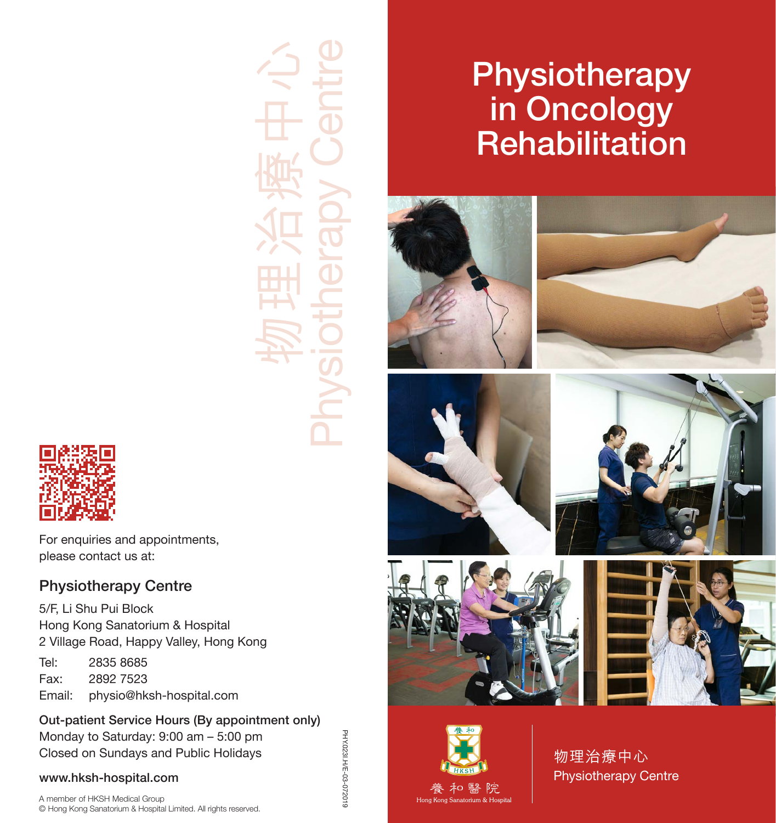物理治療中心 Physiotherapy Centre

# **Physiotherapy** in Oncology **Rehabilitation**





物理治療中心 Physiotherapy Centre



For enquiries and appointments, please contact us at:

## Physiotherapy Centre

5/F, Li Shu Pui Block Hong Kong Sanatorium & Hospital 2 Village Road, Happy Valley, Hong Kong Tel: 2835 8685

Fax: 2892 7523<br>Fmail: physio@hk physio@hksh-hospital.com

### Out-patient Service Hours (By appointment only) Monday to Saturday: 9:00 am – 5:00 pm

Closed on Sundays and Public Holidays

### www.hksh-hospital.com

A member of HKSH Medical Group © Hong Kong Sanatorium & Hospital Limited. All rights reserved. PHY.0231.H/E-03-072019 PHY.023I.H/E-03-072019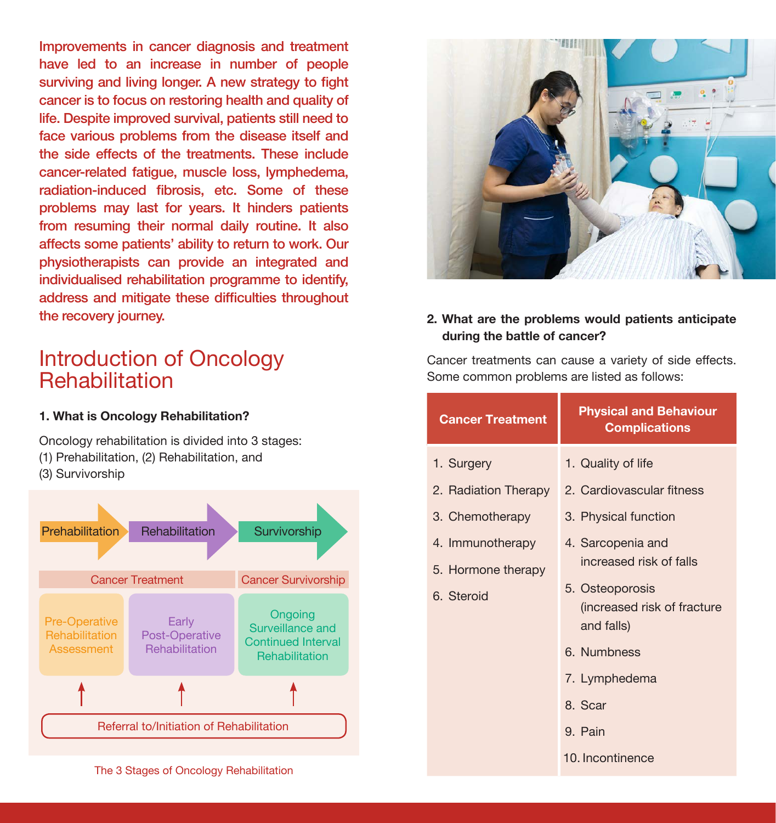Improvements in cancer diagnosis and treatment have led to an increase in number of people surviving and living longer. A new strategy to fight cancer is to focus on restoring health and quality of life. Despite improved survival, patients still need to face various problems from the disease itself and the side effects of the treatments. These include cancer-related fatigue, muscle loss, lymphedema, radiation-induced fibrosis, etc. Some of these problems may last for years. It hinders patients from resuming their normal daily routine. It also affects some patients' ability to return to work. Our physiotherapists can provide an integrated and individualised rehabilitation programme to identify, address and mitigate these difficulties throughout the recovery journey.

# Introduction of Oncology **Rehabilitation**

#### **1. What is Oncology Rehabilitation?**

Oncology rehabilitation is divided into 3 stages: (1) Prehabilitation, (2) Rehabilitation, and

(3) Survivorship





### **2. What are the problems would patients anticipate during the battle of cancer?**

Cancer treatments can cause a variety of side effects. Some common problems are listed as follows:

| <b>Cancer Treatment</b>                              | <b>Physical and Behaviour</b><br><b>Complications</b>                                                        |
|------------------------------------------------------|--------------------------------------------------------------------------------------------------------------|
| 1. Surgery                                           | 1. Quality of life                                                                                           |
| 2. Radiation Therapy                                 | 2. Cardiovascular fitness                                                                                    |
| 3. Chemotherapy                                      | 3. Physical function                                                                                         |
| 4. Immunotherapy<br>5. Hormone therapy<br>6. Steroid | 4. Sarcopenia and<br>increased risk of falls<br>5. Osteoporosis<br>(increased risk of fracture<br>and falls) |
|                                                      | 6. Numbness                                                                                                  |
|                                                      | 7. Lymphedema                                                                                                |
|                                                      | 8. Scar                                                                                                      |
|                                                      | 9. Pain                                                                                                      |
|                                                      | 10. Incontinence                                                                                             |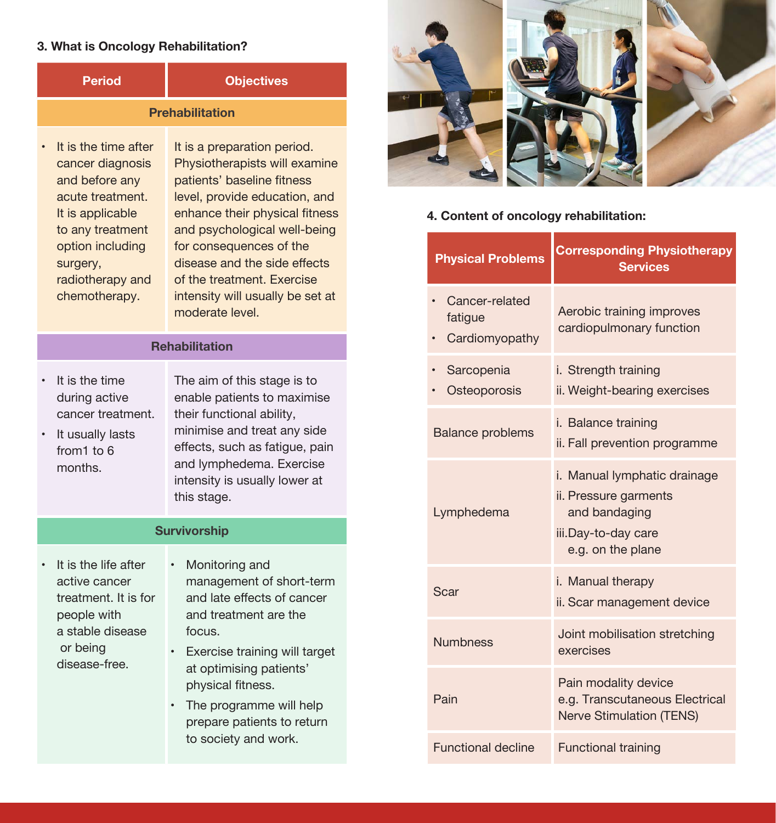### **3. What is Oncology Rehabilitation?**

| <b>Period</b>                                                                                                                                                                               | <b>Objectives</b>                                                                                                                                                                                                                                                                                                                             |  |
|---------------------------------------------------------------------------------------------------------------------------------------------------------------------------------------------|-----------------------------------------------------------------------------------------------------------------------------------------------------------------------------------------------------------------------------------------------------------------------------------------------------------------------------------------------|--|
| <b>Prehabilitation</b>                                                                                                                                                                      |                                                                                                                                                                                                                                                                                                                                               |  |
| It is the time after<br>cancer diagnosis<br>and before any<br>acute treatment.<br>It is applicable<br>to any treatment<br>option including<br>surgery,<br>radiotherapy and<br>chemotherapy. | It is a preparation period.<br>Physiotherapists will examine<br>patients' baseline fitness<br>level, provide education, and<br>enhance their physical fitness<br>and psychological well-being<br>for consequences of the<br>disease and the side effects<br>of the treatment. Exercise<br>intensity will usually be set at<br>moderate level. |  |
| <b>Rehabilitation</b>                                                                                                                                                                       |                                                                                                                                                                                                                                                                                                                                               |  |
| It is the time<br>during active<br>cancer treatment.<br>It usually lasts<br>from 1 to 6<br>months.                                                                                          | The aim of this stage is to<br>enable patients to maximise<br>their functional ability,<br>minimise and treat any side<br>effects, such as fatigue, pain<br>and lymphedema. Exercise<br>intensity is usually lower at<br>this stage.                                                                                                          |  |
| <b>Survivorship</b>                                                                                                                                                                         |                                                                                                                                                                                                                                                                                                                                               |  |
| It is the life after<br>active cancer<br>treatment. It is for<br>people with<br>a stable disease<br>or being<br>disease-free.                                                               | Monitoring and<br>management of short-term<br>and late effects of cancer<br>and treatment are the<br>focus.<br>Exercise training will target<br>at optimising patients'<br>physical fitness.<br>The programme will help<br>prepare patients to return<br>to society and work.                                                                 |  |



### **4. Content of oncology rehabilitation:**

| <b>Physical Problems</b>                    | <b>Corresponding Physiotherapy</b><br><b>Services</b>                                                              |
|---------------------------------------------|--------------------------------------------------------------------------------------------------------------------|
| Cancer-related<br>fatigue<br>Cardiomyopathy | Aerobic training improves<br>cardiopulmonary function                                                              |
| Sarcopenia<br>Osteoporosis                  | i. Strength training<br>ii. Weight-bearing exercises                                                               |
| <b>Balance problems</b>                     | i. Balance training<br>ii. Fall prevention programme                                                               |
| Lymphedema                                  | i. Manual lymphatic drainage<br>ii. Pressure garments<br>and bandaging<br>iii.Day-to-day care<br>e.g. on the plane |
| Scar                                        | i. Manual therapy<br>ii. Scar management device                                                                    |
| <b>Numbness</b>                             | Joint mobilisation stretching<br>exercises                                                                         |
| Pain                                        | Pain modality device<br>e.g. Transcutaneous Electrical<br><b>Nerve Stimulation (TENS)</b>                          |
| <b>Functional decline</b>                   | <b>Functional training</b>                                                                                         |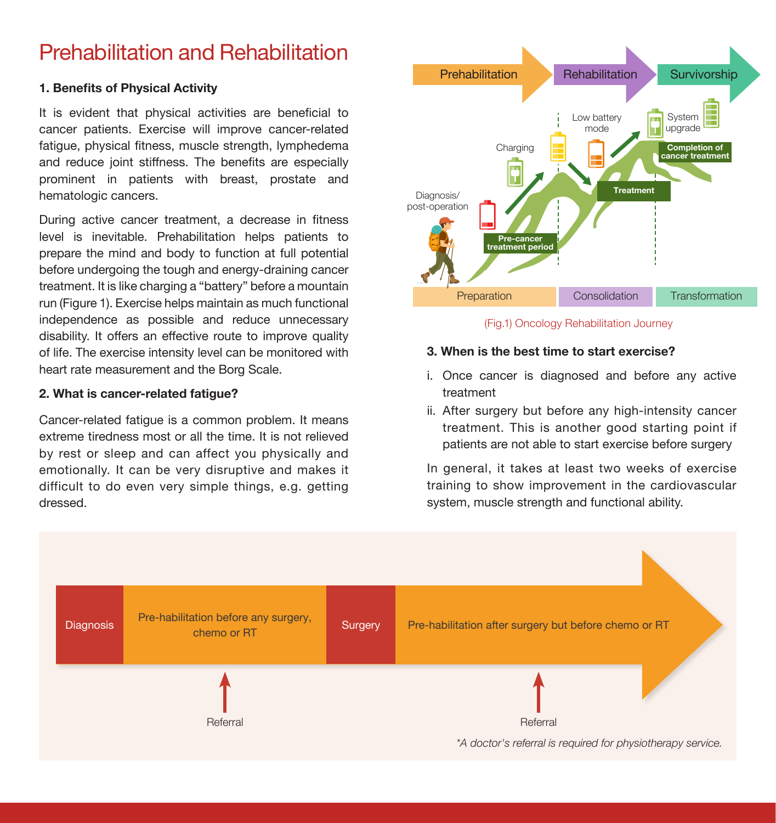# Prehabilitation and Rehabilitation

#### **1. Benefits of Physical Activity**

It is evident that physical activities are beneficial to cancer patients. Exercise will improve cancer-related fatigue, physical fitness, muscle strength, lymphedema and reduce joint stiffness. The benefits are especially prominent in patients with breast, prostate and hematologic cancers.

During active cancer treatment, a decrease in fitness level is inevitable. Prehabilitation helps patients to prepare the mind and body to function at full potential before undergoing the tough and energy-draining cancer treatment. It is like charging a "battery" before a mountain run (Figure 1). Exercise helps maintain as much functional independence as possible and reduce unnecessary disability. It offers an effective route to improve quality of life. The exercise intensity level can be monitored with heart rate measurement and the Borg Scale.

#### **2. What is cancer-related fatigue?**

Cancer-related fatigue is a common problem. It means extreme tiredness most or all the time. It is not relieved by rest or sleep and can affect you physically and emotionally. It can be very disruptive and makes it difficult to do even very simple things, e.g. getting dressed.



(Fig.1) Oncology Rehabilitation Journey

### **3. When is the best time to start exercise?**

- i. Once cancer is diagnosed and before any active treatment
- ii. After surgery but before any high-intensity cancer treatment. This is another good starting point if patients are not able to start exercise before surgery

In general, it takes at least two weeks of exercise training to show improvement in the cardiovascular system, muscle strength and functional ability.

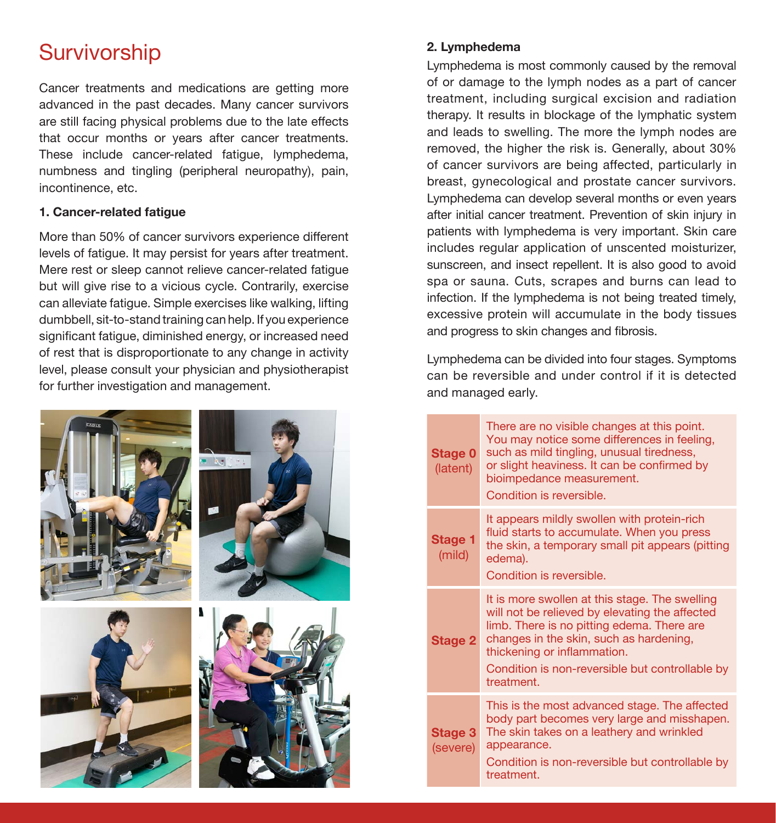# **Survivorship**

Cancer treatments and medications are getting more advanced in the past decades. Many cancer survivors are still facing physical problems due to the late effects that occur months or years after cancer treatments. These include cancer-related fatigue, lymphedema, numbness and tingling (peripheral neuropathy), pain, incontinence, etc.

### **1. Cancer-related fatigue**

More than 50% of cancer survivors experience different levels of fatigue. It may persist for years after treatment. Mere rest or sleep cannot relieve cancer-related fatigue but will give rise to a vicious cycle. Contrarily, exercise can alleviate fatigue. Simple exercises like walking, lifting dumbbell, sit-to-stand training can help. If you experience significant fatigue, diminished energy, or increased need of rest that is disproportionate to any change in activity level, please consult your physician and physiotherapist for further investigation and management.



### **2. Lymphedema**

Lymphedema is most commonly caused by the removal of or damage to the lymph nodes as a part of cancer treatment, including surgical excision and radiation therapy. It results in blockage of the lymphatic system and leads to swelling. The more the lymph nodes are removed, the higher the risk is. Generally, about 30% of cancer survivors are being affected, particularly in breast, gynecological and prostate cancer survivors. Lymphedema can develop several months or even years after initial cancer treatment. Prevention of skin injury in patients with lymphedema is very important. Skin care includes regular application of unscented moisturizer, sunscreen, and insect repellent. It is also good to avoid spa or sauna. Cuts, scrapes and burns can lead to infection. If the lymphedema is not being treated timely, excessive protein will accumulate in the body tissues and progress to skin changes and fibrosis.

Lymphedema can be divided into four stages. Symptoms can be reversible and under control if it is detected and managed early.

| Stage 0<br>(latent)        | There are no visible changes at this point.<br>You may notice some differences in feeling,<br>such as mild tingling, unusual tiredness,<br>or slight heaviness. It can be confirmed by<br>bioimpedance measurement.<br>Condition is reversible.                                           |
|----------------------------|-------------------------------------------------------------------------------------------------------------------------------------------------------------------------------------------------------------------------------------------------------------------------------------------|
| Stage 1<br>(mild)          | It appears mildly swollen with protein-rich<br>fluid starts to accumulate. When you press<br>the skin, a temporary small pit appears (pitting<br>edema).<br>Condition is reversible.                                                                                                      |
| Stage 2                    | It is more swollen at this stage. The swelling<br>will not be relieved by elevating the affected<br>limb. There is no pitting edema. There are<br>changes in the skin, such as hardening,<br>thickening or inflammation.<br>Condition is non-reversible but controllable by<br>treatment. |
| <b>Stage 3</b><br>(severe) | This is the most advanced stage. The affected<br>body part becomes very large and misshapen.<br>The skin takes on a leathery and wrinkled<br>appearance.<br>Condition is non-reversible but controllable by<br>treatment.                                                                 |